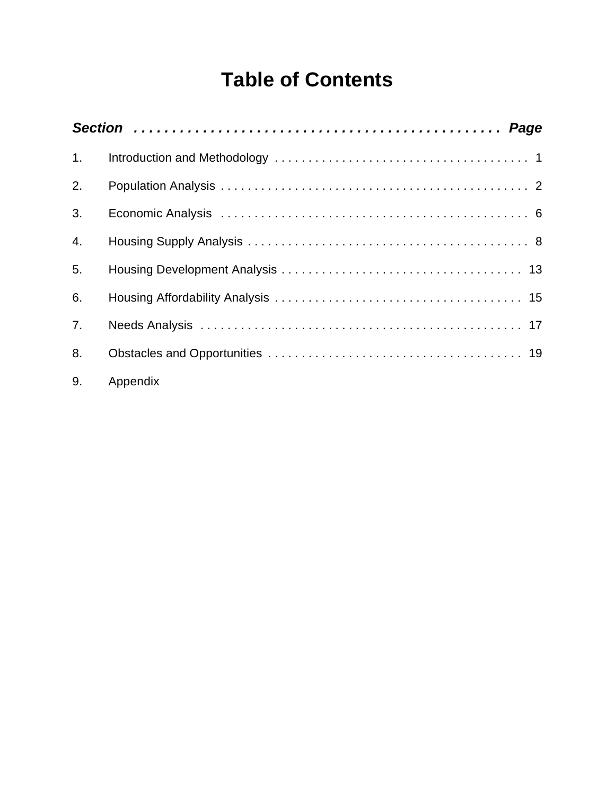# **Table of Contents**

| 1.             |          |  |
|----------------|----------|--|
| 2.             |          |  |
| 3.             |          |  |
| 4.             |          |  |
| 5.             |          |  |
| 6.             |          |  |
| 7 <sub>1</sub> |          |  |
| 8.             |          |  |
| 9.             | Appendix |  |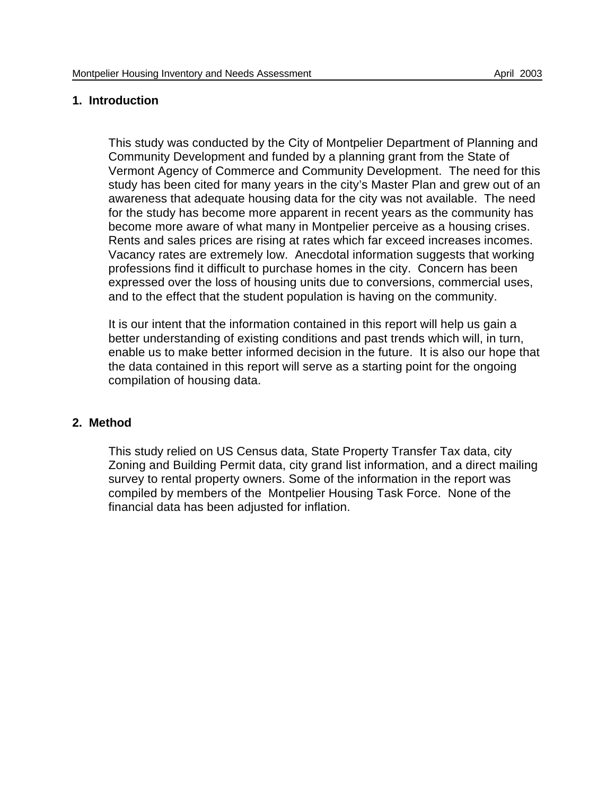#### **1. Introduction**

This study was conducted by the City of Montpelier Department of Planning and Community Development and funded by a planning grant from the State of Vermont Agency of Commerce and Community Development. The need for this study has been cited for many years in the city's Master Plan and grew out of an awareness that adequate housing data for the city was not available. The need for the study has become more apparent in recent years as the community has become more aware of what many in Montpelier perceive as a housing crises. Rents and sales prices are rising at rates which far exceed increases incomes. Vacancy rates are extremely low. Anecdotal information suggests that working professions find it difficult to purchase homes in the city. Concern has been expressed over the loss of housing units due to conversions, commercial uses, and to the effect that the student population is having on the community.

It is our intent that the information contained in this report will help us gain a better understanding of existing conditions and past trends which will, in turn, enable us to make better informed decision in the future. It is also our hope that the data contained in this report will serve as a starting point for the ongoing compilation of housing data.

#### **2. Method**

This study relied on US Census data, State Property Transfer Tax data, city Zoning and Building Permit data, city grand list information, and a direct mailing survey to rental property owners. Some of the information in the report was compiled by members of the Montpelier Housing Task Force. None of the financial data has been adjusted for inflation.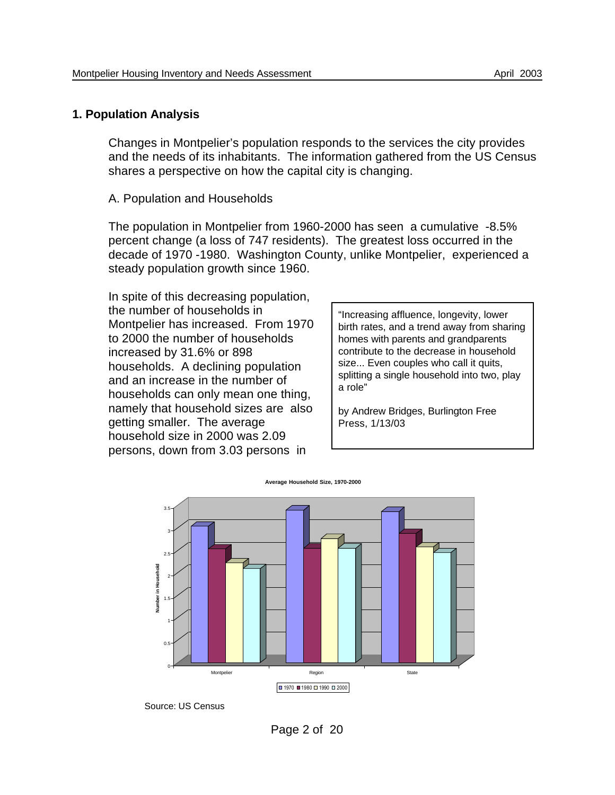#### **1. Population Analysis**

Changes in Montpelier's population responds to the services the city provides and the needs of its inhabitants. The information gathered from the US Census shares a perspective on how the capital city is changing.

A. Population and Households

The population in Montpelier from 1960-2000 has seen a cumulative -8.5% percent change (a loss of 747 residents). The greatest loss occurred in the decade of 1970 -1980. Washington County, unlike Montpelier, experienced a steady population growth since 1960.

In spite of this decreasing population, the number of households in Montpelier has increased. From 1970 to 2000 the number of households increased by 31.6% or 898 households. A declining population and an increase in the number of households can only mean one thing, namely that household sizes are also getting smaller. The average household size in 2000 was 2.09 persons, down from 3.03 persons in

"Increasing affluence, longevity, lower birth rates, and a trend away from sharing homes with parents and grandparents contribute to the decrease in household size... Even couples who call it quits, splitting a single household into two, play a role"

by Andrew Bridges, Burlington Free Press, 1/13/03



Source: US Census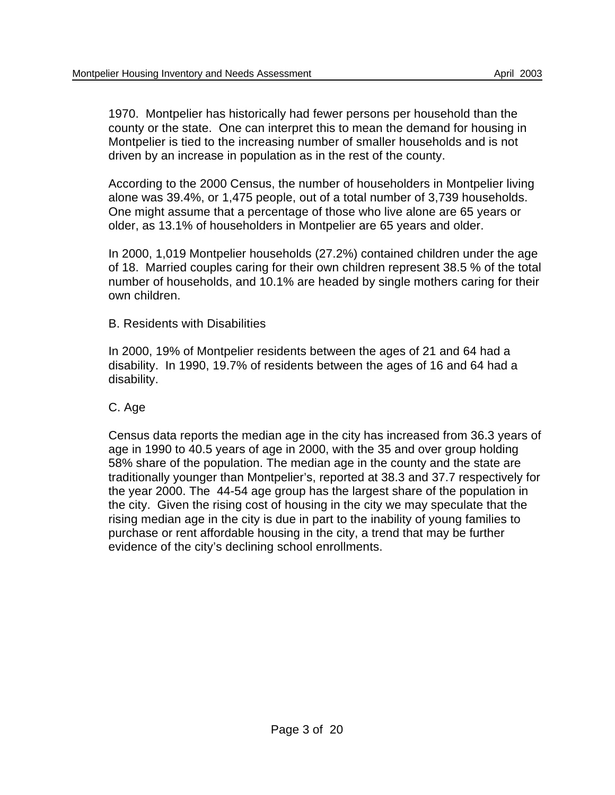1970. Montpelier has historically had fewer persons per household than the county or the state. One can interpret this to mean the demand for housing in Montpelier is tied to the increasing number of smaller households and is not driven by an increase in population as in the rest of the county.

According to the 2000 Census, the number of householders in Montpelier living alone was 39.4%, or 1,475 people, out of a total number of 3,739 households. One might assume that a percentage of those who live alone are 65 years or older, as 13.1% of householders in Montpelier are 65 years and older.

In 2000, 1,019 Montpelier households (27.2%) contained children under the age of 18. Married couples caring for their own children represent 38.5 % of the total number of households, and 10.1% are headed by single mothers caring for their own children.

B. Residents with Disabilities

In 2000, 19% of Montpelier residents between the ages of 21 and 64 had a disability. In 1990, 19.7% of residents between the ages of 16 and 64 had a disability.

C. Age

Census data reports the median age in the city has increased from 36.3 years of age in 1990 to 40.5 years of age in 2000, with the 35 and over group holding 58% share of the population. The median age in the county and the state are traditionally younger than Montpelier's, reported at 38.3 and 37.7 respectively for the year 2000. The 44-54 age group has the largest share of the population in the city. Given the rising cost of housing in the city we may speculate that the rising median age in the city is due in part to the inability of young families to purchase or rent affordable housing in the city, a trend that may be further evidence of the city's declining school enrollments.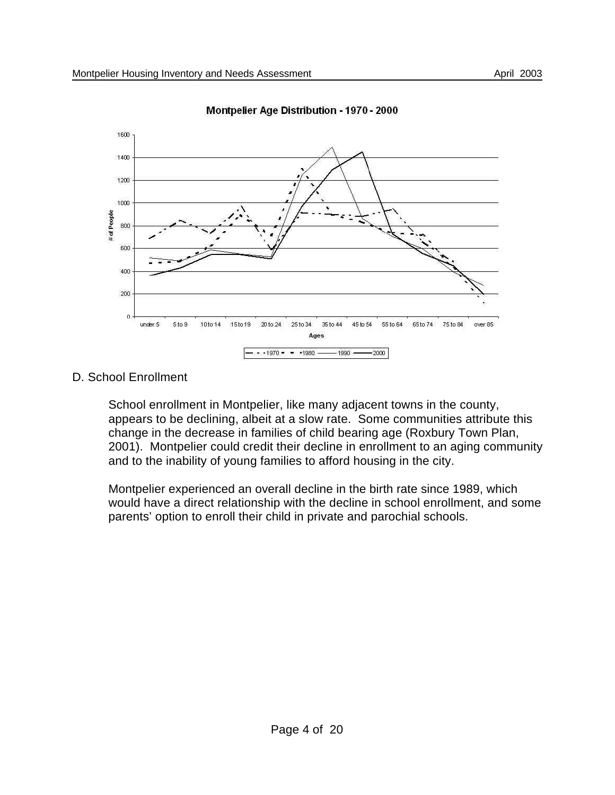

Montpelier Age Distribution - 1970 - 2000

D. School Enrollment

School enrollment in Montpelier, like many adjacent towns in the county, appears to be declining, albeit at a slow rate. Some communities attribute this change in the decrease in families of child bearing age (Roxbury Town Plan, 2001). Montpelier could credit their decline in enrollment to an aging community and to the inability of young families to afford housing in the city.

Montpelier experienced an overall decline in the birth rate since 1989, which would have a direct relationship with the decline in school enrollment, and some parents' option to enroll their child in private and parochial schools.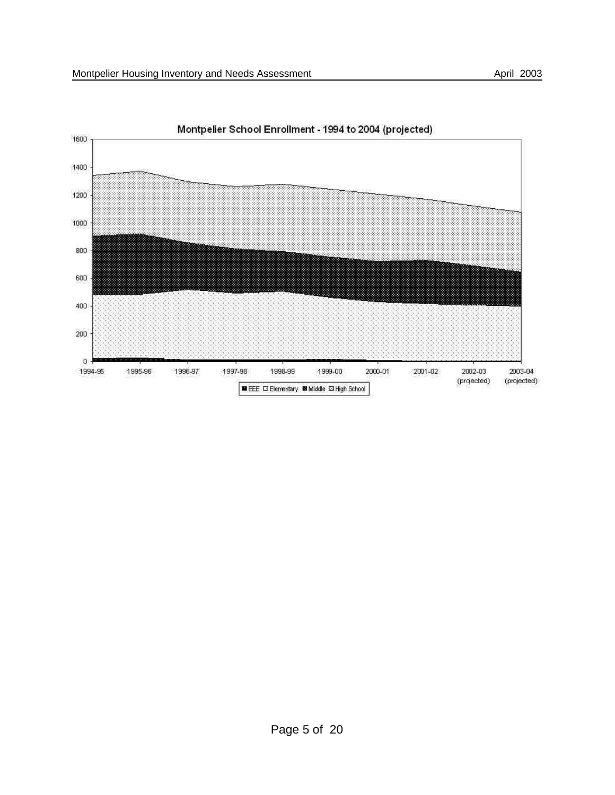

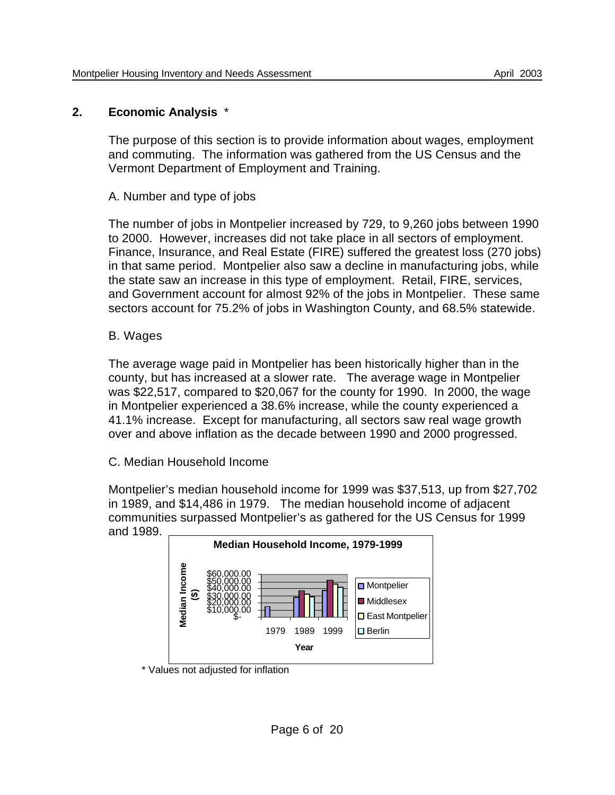## **2. Economic Analysis** \*

The purpose of this section is to provide information about wages, employment and commuting. The information was gathered from the US Census and the Vermont Department of Employment and Training.

A. Number and type of jobs

The number of jobs in Montpelier increased by 729, to 9,260 jobs between 1990 to 2000. However, increases did not take place in all sectors of employment. Finance, Insurance, and Real Estate (FIRE) suffered the greatest loss (270 jobs) in that same period. Montpelier also saw a decline in manufacturing jobs, while the state saw an increase in this type of employment. Retail, FIRE, services, and Government account for almost 92% of the jobs in Montpelier. These same sectors account for 75.2% of jobs in Washington County, and 68.5% statewide.

# B. Wages

The average wage paid in Montpelier has been historically higher than in the county, but has increased at a slower rate. The average wage in Montpelier was \$22,517, compared to \$20,067 for the county for 1990. In 2000, the wage in Montpelier experienced a 38.6% increase, while the county experienced a 41.1% increase. Except for manufacturing, all sectors saw real wage growth over and above inflation as the decade between 1990 and 2000 progressed.

C. Median Household Income

Montpelier's median household income for 1999 was \$37,513, up from \$27,702 in 1989, and \$14,486 in 1979. The median household income of adjacent communities surpassed Montpelier's as gathered for the US Census for 1999 and 1989.



\* Values not adjusted for inflation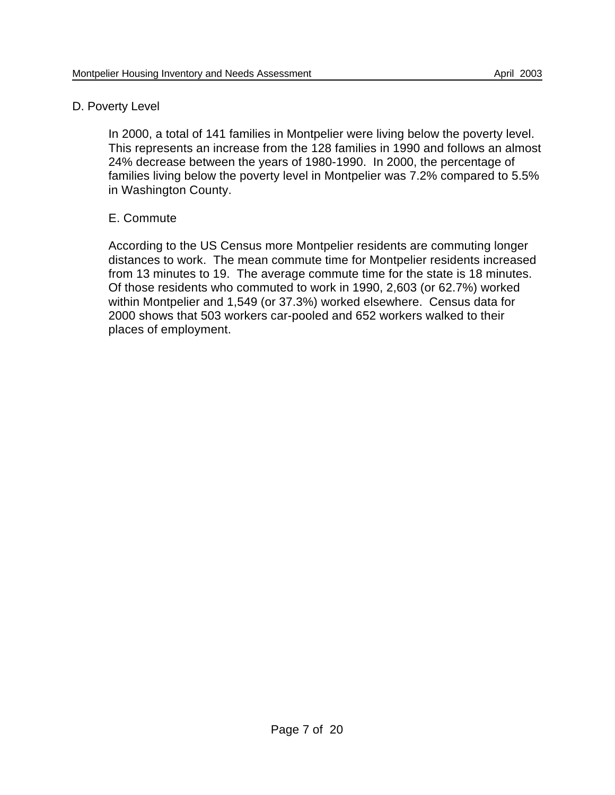## D. Poverty Level

In 2000, a total of 141 families in Montpelier were living below the poverty level. This represents an increase from the 128 families in 1990 and follows an almost 24% decrease between the years of 1980-1990. In 2000, the percentage of families living below the poverty level in Montpelier was 7.2% compared to 5.5% in Washington County.

# E. Commute

According to the US Census more Montpelier residents are commuting longer distances to work. The mean commute time for Montpelier residents increased from 13 minutes to 19. The average commute time for the state is 18 minutes. Of those residents who commuted to work in 1990, 2,603 (or 62.7%) worked within Montpelier and 1,549 (or 37.3%) worked elsewhere. Census data for 2000 shows that 503 workers car-pooled and 652 workers walked to their places of employment.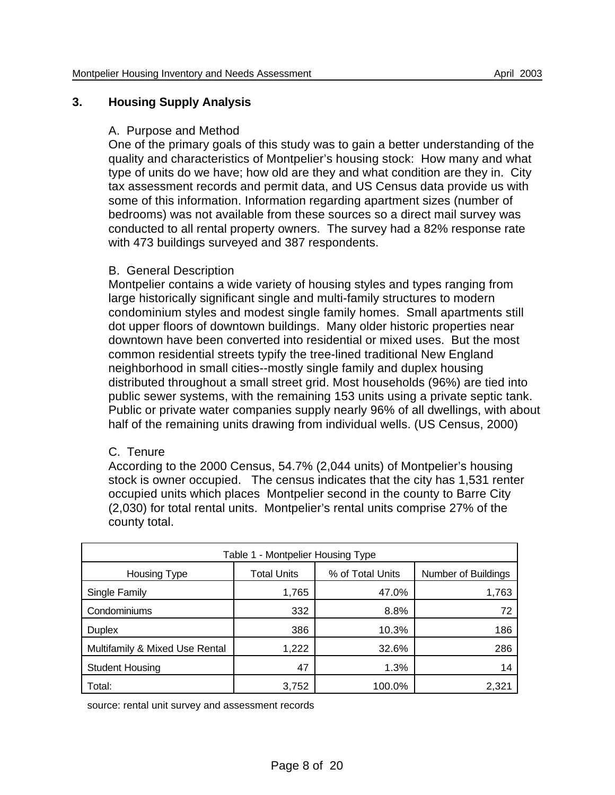## **3. Housing Supply Analysis**

## A. Purpose and Method

One of the primary goals of this study was to gain a better understanding of the quality and characteristics of Montpelier's housing stock: How many and what type of units do we have; how old are they and what condition are they in. City tax assessment records and permit data, and US Census data provide us with some of this information. Information regarding apartment sizes (number of bedrooms) was not available from these sources so a direct mail survey was conducted to all rental property owners. The survey had a 82% response rate with 473 buildings surveyed and 387 respondents.

## B. General Description

Montpelier contains a wide variety of housing styles and types ranging from large historically significant single and multi-family structures to modern condominium styles and modest single family homes. Small apartments still dot upper floors of downtown buildings. Many older historic properties near downtown have been converted into residential or mixed uses. But the most common residential streets typify the tree-lined traditional New England neighborhood in small cities--mostly single family and duplex housing distributed throughout a small street grid. Most households (96%) are tied into public sewer systems, with the remaining 153 units using a private septic tank. Public or private water companies supply nearly 96% of all dwellings, with about half of the remaining units drawing from individual wells. (US Census, 2000)

## C. Tenure

According to the 2000 Census, 54.7% (2,044 units) of Montpelier's housing stock is owner occupied. The census indicates that the city has 1,531 renter occupied units which places Montpelier second in the county to Barre City (2,030) for total rental units. Montpelier's rental units comprise 27% of the county total.

| Table 1 - Montpelier Housing Type |                    |                  |                     |  |
|-----------------------------------|--------------------|------------------|---------------------|--|
| Housing Type                      | <b>Total Units</b> | % of Total Units | Number of Buildings |  |
| Single Family                     | 1,765              | 47.0%            | 1,763               |  |
| Condominiums                      | 332                | 8.8%             | 72                  |  |
| <b>Duplex</b>                     | 386                | 10.3%            | 186                 |  |
| Multifamily & Mixed Use Rental    | 1,222              | 32.6%            | 286                 |  |
| <b>Student Housing</b>            | 47                 | 1.3%             | 14                  |  |
| Total:                            | 3,752              | 100.0%           | 2,321               |  |

source: rental unit survey and assessment records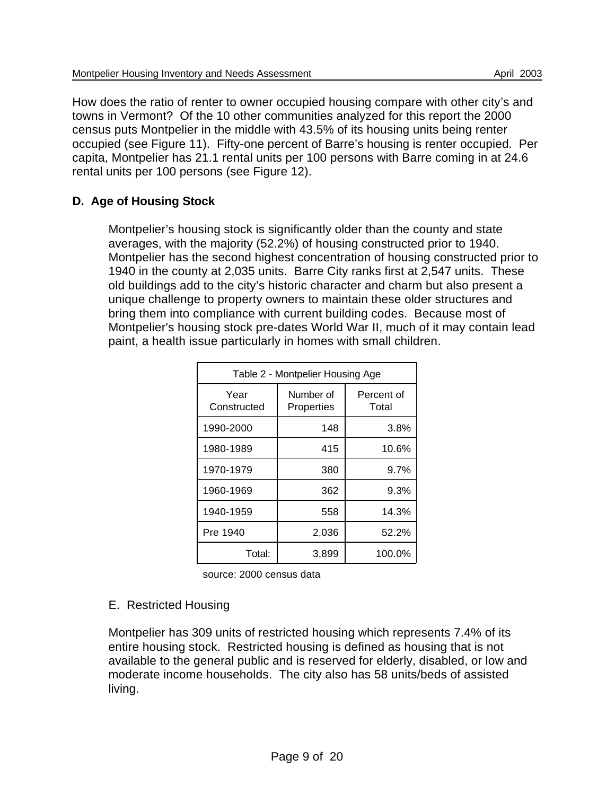How does the ratio of renter to owner occupied housing compare with other city's and towns in Vermont? Of the 10 other communities analyzed for this report the 2000 census puts Montpelier in the middle with 43.5% of its housing units being renter occupied (see Figure 11). Fifty-one percent of Barre's housing is renter occupied. Per capita, Montpelier has 21.1 rental units per 100 persons with Barre coming in at 24.6 rental units per 100 persons (see Figure 12).

# **D. Age of Housing Stock**

Montpelier's housing stock is significantly older than the county and state averages, with the majority (52.2%) of housing constructed prior to 1940. Montpelier has the second highest concentration of housing constructed prior to 1940 in the county at 2,035 units. Barre City ranks first at 2,547 units. These old buildings add to the city's historic character and charm but also present a unique challenge to property owners to maintain these older structures and bring them into compliance with current building codes. Because most of Montpelier's housing stock pre-dates World War II, much of it may contain lead paint, a health issue particularly in homes with small children.

| Table 2 - Montpelier Housing Age |                         |                     |  |
|----------------------------------|-------------------------|---------------------|--|
| Year<br>Constructed              | Number of<br>Properties | Percent of<br>Total |  |
| 1990-2000                        | 148                     | 3.8%                |  |
| 1980-1989                        | 415                     | 10.6%               |  |
| 1970-1979                        | 380                     | 9.7%                |  |
| 1960-1969                        | 362                     | 9.3%                |  |
| 1940-1959                        | 558                     | 14.3%               |  |
| Pre 1940                         | 2,036                   | 52.2%               |  |
| Total:                           | 3,899                   | 100.0%              |  |

source: 2000 census data

## E. Restricted Housing

Montpelier has 309 units of restricted housing which represents 7.4% of its entire housing stock. Restricted housing is defined as housing that is not available to the general public and is reserved for elderly, disabled, or low and moderate income households. The city also has 58 units/beds of assisted living.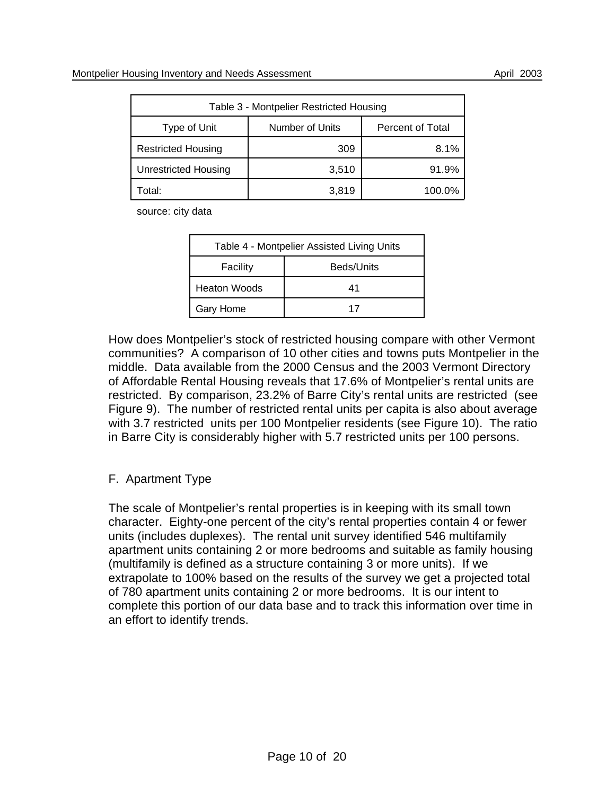| Table 3 - Montpelier Restricted Housing |                 |                  |  |
|-----------------------------------------|-----------------|------------------|--|
| Type of Unit                            | Number of Units | Percent of Total |  |
| <b>Restricted Housing</b>               | 309             | 8.1%             |  |
| <b>Unrestricted Housing</b>             | 3,510           | 91.9%            |  |
| Total:                                  | 3,819           | 100.0%           |  |

source: city data

| Table 4 - Montpelier Assisted Living Units |            |  |
|--------------------------------------------|------------|--|
| Facility                                   | Beds/Units |  |
| <b>Heaton Woods</b>                        | 41         |  |
| Gary Home                                  | 17         |  |

How does Montpelier's stock of restricted housing compare with other Vermont communities? A comparison of 10 other cities and towns puts Montpelier in the middle. Data available from the 2000 Census and the 2003 Vermont Directory of Affordable Rental Housing reveals that 17.6% of Montpelier's rental units are restricted. By comparison, 23.2% of Barre City's rental units are restricted (see Figure 9). The number of restricted rental units per capita is also about average with 3.7 restricted units per 100 Montpelier residents (see Figure 10). The ratio in Barre City is considerably higher with 5.7 restricted units per 100 persons.

# F. Apartment Type

The scale of Montpelier's rental properties is in keeping with its small town character. Eighty-one percent of the city's rental properties contain 4 or fewer units (includes duplexes). The rental unit survey identified 546 multifamily apartment units containing 2 or more bedrooms and suitable as family housing (multifamily is defined as a structure containing 3 or more units). If we extrapolate to 100% based on the results of the survey we get a projected total of 780 apartment units containing 2 or more bedrooms. It is our intent to complete this portion of our data base and to track this information over time in an effort to identify trends.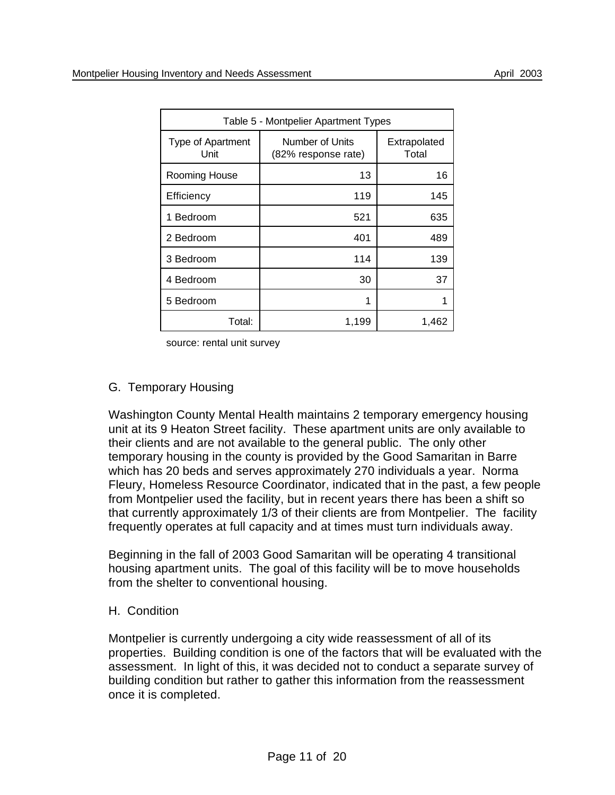| Table 5 - Montpelier Apartment Types |                                        |                       |  |
|--------------------------------------|----------------------------------------|-----------------------|--|
| Type of Apartment<br>Unit            | Number of Units<br>(82% response rate) | Extrapolated<br>Total |  |
| Rooming House                        | 13                                     | 16                    |  |
| Efficiency                           | 119                                    | 145                   |  |
| 1 Bedroom                            | 521                                    | 635                   |  |
| 2 Bedroom                            | 401                                    | 489                   |  |
| 3 Bedroom                            | 114                                    | 139                   |  |
| 4 Bedroom                            | 30                                     | 37                    |  |
| 5 Bedroom                            | 1                                      |                       |  |
| Total:                               | 1,199                                  | 1,462                 |  |

source: rental unit survey

## G. Temporary Housing

Washington County Mental Health maintains 2 temporary emergency housing unit at its 9 Heaton Street facility. These apartment units are only available to their clients and are not available to the general public. The only other temporary housing in the county is provided by the Good Samaritan in Barre which has 20 beds and serves approximately 270 individuals a year. Norma Fleury, Homeless Resource Coordinator, indicated that in the past, a few people from Montpelier used the facility, but in recent years there has been a shift so that currently approximately 1/3 of their clients are from Montpelier. The facility frequently operates at full capacity and at times must turn individuals away.

Beginning in the fall of 2003 Good Samaritan will be operating 4 transitional housing apartment units. The goal of this facility will be to move households from the shelter to conventional housing.

#### H. Condition

Montpelier is currently undergoing a city wide reassessment of all of its properties. Building condition is one of the factors that will be evaluated with the assessment. In light of this, it was decided not to conduct a separate survey of building condition but rather to gather this information from the reassessment once it is completed.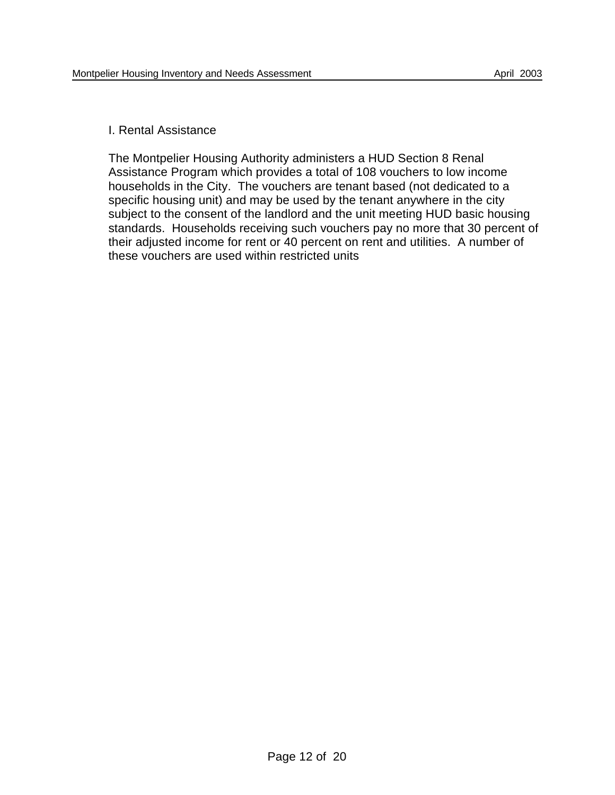#### I. Rental Assistance

The Montpelier Housing Authority administers a HUD Section 8 Renal Assistance Program which provides a total of 108 vouchers to low income households in the City. The vouchers are tenant based (not dedicated to a specific housing unit) and may be used by the tenant anywhere in the city subject to the consent of the landlord and the unit meeting HUD basic housing standards. Households receiving such vouchers pay no more that 30 percent of their adjusted income for rent or 40 percent on rent and utilities. A number of these vouchers are used within restricted units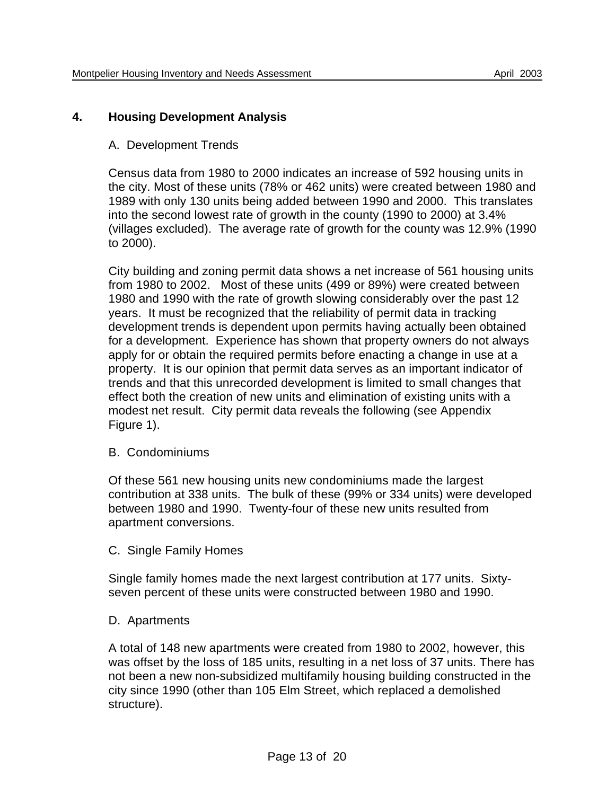## **4. Housing Development Analysis**

#### A. Development Trends

Census data from 1980 to 2000 indicates an increase of 592 housing units in the city. Most of these units (78% or 462 units) were created between 1980 and 1989 with only 130 units being added between 1990 and 2000. This translates into the second lowest rate of growth in the county (1990 to 2000) at 3.4% (villages excluded). The average rate of growth for the county was 12.9% (1990 to 2000).

City building and zoning permit data shows a net increase of 561 housing units from 1980 to 2002. Most of these units (499 or 89%) were created between 1980 and 1990 with the rate of growth slowing considerably over the past 12 years. It must be recognized that the reliability of permit data in tracking development trends is dependent upon permits having actually been obtained for a development. Experience has shown that property owners do not always apply for or obtain the required permits before enacting a change in use at a property. It is our opinion that permit data serves as an important indicator of trends and that this unrecorded development is limited to small changes that effect both the creation of new units and elimination of existing units with a modest net result. City permit data reveals the following (see Appendix Figure 1).

#### B. Condominiums

Of these 561 new housing units new condominiums made the largest contribution at 338 units. The bulk of these (99% or 334 units) were developed between 1980 and 1990. Twenty-four of these new units resulted from apartment conversions.

C. Single Family Homes

Single family homes made the next largest contribution at 177 units. Sixtyseven percent of these units were constructed between 1980 and 1990.

#### D. Apartments

A total of 148 new apartments were created from 1980 to 2002, however, this was offset by the loss of 185 units, resulting in a net loss of 37 units. There has not been a new non-subsidized multifamily housing building constructed in the city since 1990 (other than 105 Elm Street, which replaced a demolished structure).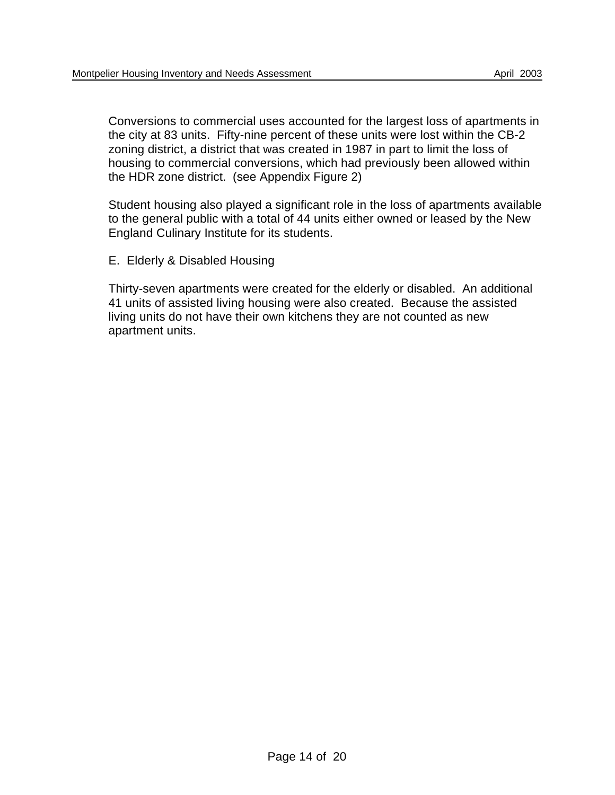Conversions to commercial uses accounted for the largest loss of apartments in the city at 83 units. Fifty-nine percent of these units were lost within the CB-2 zoning district, a district that was created in 1987 in part to limit the loss of housing to commercial conversions, which had previously been allowed within the HDR zone district. (see Appendix Figure 2)

Student housing also played a significant role in the loss of apartments available to the general public with a total of 44 units either owned or leased by the New England Culinary Institute for its students.

E. Elderly & Disabled Housing

Thirty-seven apartments were created for the elderly or disabled. An additional 41 units of assisted living housing were also created. Because the assisted living units do not have their own kitchens they are not counted as new apartment units.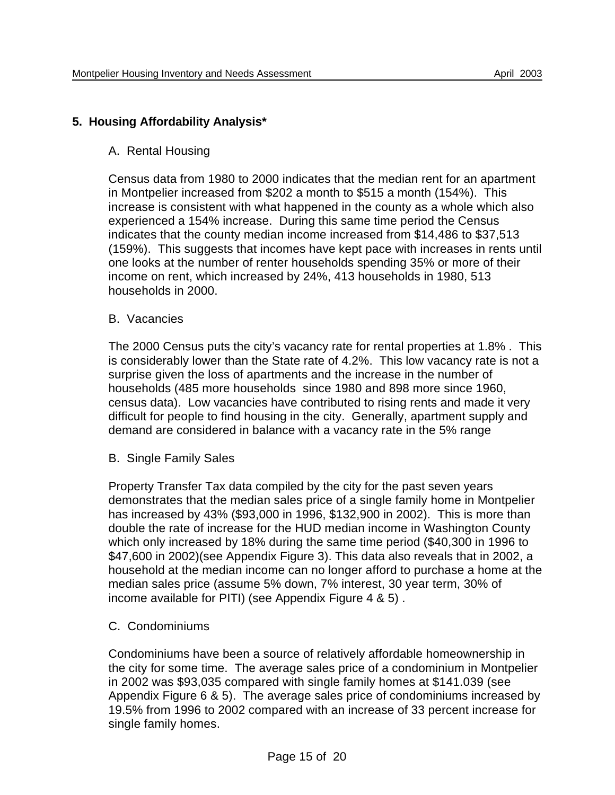## **5. Housing Affordability Analysis\***

#### A. Rental Housing

Census data from 1980 to 2000 indicates that the median rent for an apartment in Montpelier increased from \$202 a month to \$515 a month (154%). This increase is consistent with what happened in the county as a whole which also experienced a 154% increase. During this same time period the Census indicates that the county median income increased from \$14,486 to \$37,513 (159%). This suggests that incomes have kept pace with increases in rents until one looks at the number of renter households spending 35% or more of their income on rent, which increased by 24%, 413 households in 1980, 513 households in 2000.

#### B. Vacancies

The 2000 Census puts the city's vacancy rate for rental properties at 1.8% . This is considerably lower than the State rate of 4.2%. This low vacancy rate is not a surprise given the loss of apartments and the increase in the number of households (485 more households since 1980 and 898 more since 1960, census data). Low vacancies have contributed to rising rents and made it very difficult for people to find housing in the city. Generally, apartment supply and demand are considered in balance with a vacancy rate in the 5% range

#### B. Single Family Sales

Property Transfer Tax data compiled by the city for the past seven years demonstrates that the median sales price of a single family home in Montpelier has increased by 43% (\$93,000 in 1996, \$132,900 in 2002). This is more than double the rate of increase for the HUD median income in Washington County which only increased by 18% during the same time period (\$40,300 in 1996 to \$47,600 in 2002)(see Appendix Figure 3). This data also reveals that in 2002, a household at the median income can no longer afford to purchase a home at the median sales price (assume 5% down, 7% interest, 30 year term, 30% of income available for PITI) (see Appendix Figure 4 & 5) .

#### C. Condominiums

Condominiums have been a source of relatively affordable homeownership in the city for some time. The average sales price of a condominium in Montpelier in 2002 was \$93,035 compared with single family homes at \$141.039 (see Appendix Figure 6 & 5). The average sales price of condominiums increased by 19.5% from 1996 to 2002 compared with an increase of 33 percent increase for single family homes.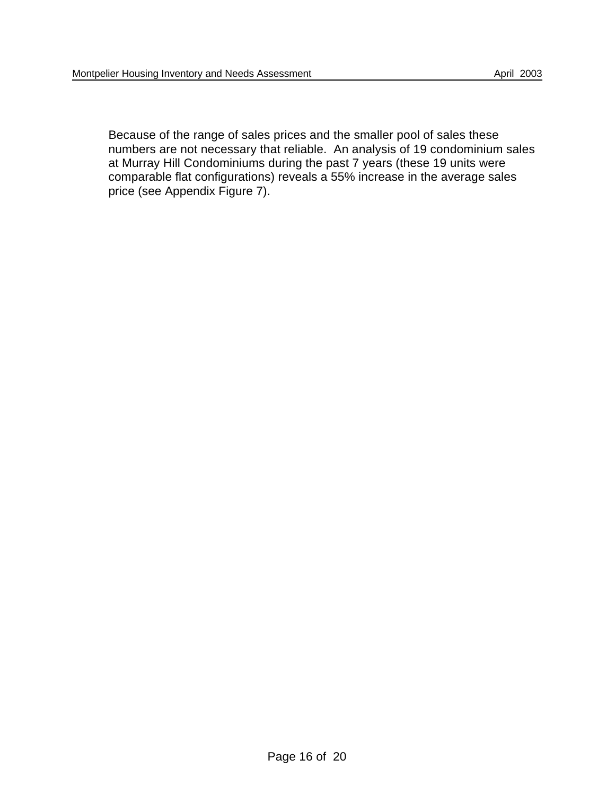Because of the range of sales prices and the smaller pool of sales these numbers are not necessary that reliable. An analysis of 19 condominium sales at Murray Hill Condominiums during the past 7 years (these 19 units were comparable flat configurations) reveals a 55% increase in the average sales price (see Appendix Figure 7).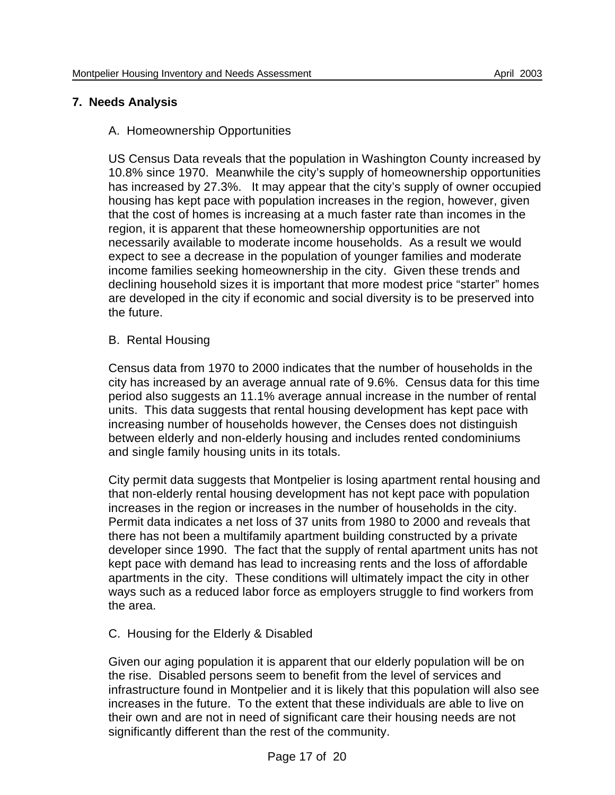# **7. Needs Analysis**

## A. Homeownership Opportunities

US Census Data reveals that the population in Washington County increased by 10.8% since 1970. Meanwhile the city's supply of homeownership opportunities has increased by 27.3%. It may appear that the city's supply of owner occupied housing has kept pace with population increases in the region, however, given that the cost of homes is increasing at a much faster rate than incomes in the region, it is apparent that these homeownership opportunities are not necessarily available to moderate income households. As a result we would expect to see a decrease in the population of younger families and moderate income families seeking homeownership in the city. Given these trends and declining household sizes it is important that more modest price "starter" homes are developed in the city if economic and social diversity is to be preserved into the future.

## B. Rental Housing

Census data from 1970 to 2000 indicates that the number of households in the city has increased by an average annual rate of 9.6%. Census data for this time period also suggests an 11.1% average annual increase in the number of rental units. This data suggests that rental housing development has kept pace with increasing number of households however, the Censes does not distinguish between elderly and non-elderly housing and includes rented condominiums and single family housing units in its totals.

City permit data suggests that Montpelier is losing apartment rental housing and that non-elderly rental housing development has not kept pace with population increases in the region or increases in the number of households in the city. Permit data indicates a net loss of 37 units from 1980 to 2000 and reveals that there has not been a multifamily apartment building constructed by a private developer since 1990. The fact that the supply of rental apartment units has not kept pace with demand has lead to increasing rents and the loss of affordable apartments in the city. These conditions will ultimately impact the city in other ways such as a reduced labor force as employers struggle to find workers from the area.

## C. Housing for the Elderly & Disabled

Given our aging population it is apparent that our elderly population will be on the rise. Disabled persons seem to benefit from the level of services and infrastructure found in Montpelier and it is likely that this population will also see increases in the future. To the extent that these individuals are able to live on their own and are not in need of significant care their housing needs are not significantly different than the rest of the community.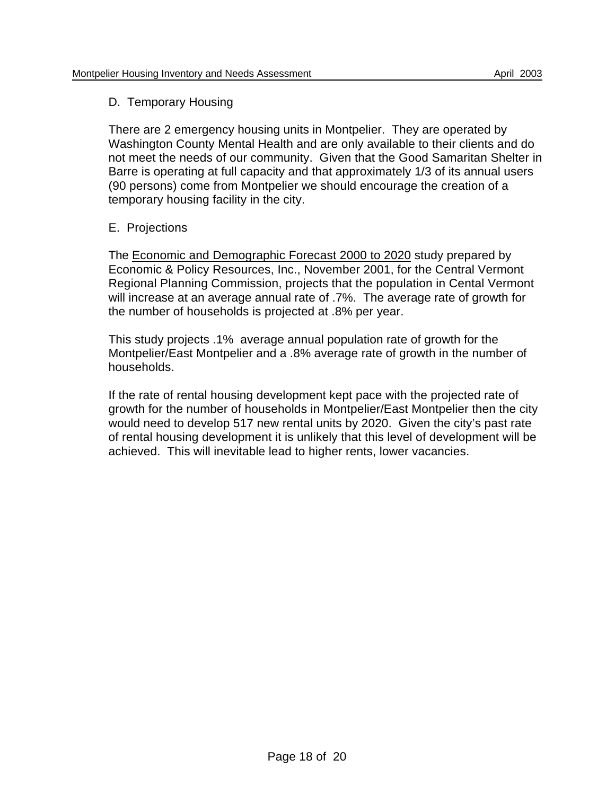## D. Temporary Housing

There are 2 emergency housing units in Montpelier. They are operated by Washington County Mental Health and are only available to their clients and do not meet the needs of our community. Given that the Good Samaritan Shelter in Barre is operating at full capacity and that approximately 1/3 of its annual users (90 persons) come from Montpelier we should encourage the creation of a temporary housing facility in the city.

## E. Projections

The Economic and Demographic Forecast 2000 to 2020 study prepared by Economic & Policy Resources, Inc., November 2001, for the Central Vermont Regional Planning Commission, projects that the population in Cental Vermont will increase at an average annual rate of .7%. The average rate of growth for the number of households is projected at .8% per year.

This study projects .1% average annual population rate of growth for the Montpelier/East Montpelier and a .8% average rate of growth in the number of households.

If the rate of rental housing development kept pace with the projected rate of growth for the number of households in Montpelier/East Montpelier then the city would need to develop 517 new rental units by 2020. Given the city's past rate of rental housing development it is unlikely that this level of development will be achieved. This will inevitable lead to higher rents, lower vacancies.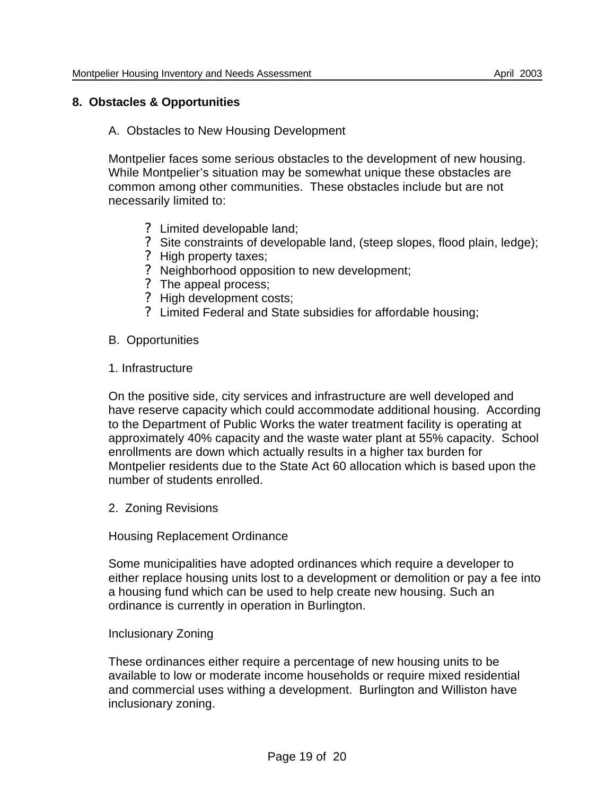# **8. Obstacles & Opportunities**

## A. Obstacles to New Housing Development

Montpelier faces some serious obstacles to the development of new housing. While Montpelier's situation may be somewhat unique these obstacles are common among other communities. These obstacles include but are not necessarily limited to:

- ? Limited developable land;
- ? Site constraints of developable land, (steep slopes, flood plain, ledge);
- ? High property taxes;
- ? Neighborhood opposition to new development;
- ? The appeal process;
- ? High development costs;
- ? Limited Federal and State subsidies for affordable housing;
- B. Opportunities
- 1. Infrastructure

On the positive side, city services and infrastructure are well developed and have reserve capacity which could accommodate additional housing. According to the Department of Public Works the water treatment facility is operating at approximately 40% capacity and the waste water plant at 55% capacity. School enrollments are down which actually results in a higher tax burden for Montpelier residents due to the State Act 60 allocation which is based upon the number of students enrolled.

2. Zoning Revisions

## Housing Replacement Ordinance

Some municipalities have adopted ordinances which require a developer to either replace housing units lost to a development or demolition or pay a fee into a housing fund which can be used to help create new housing. Such an ordinance is currently in operation in Burlington.

## Inclusionary Zoning

These ordinances either require a percentage of new housing units to be available to low or moderate income households or require mixed residential and commercial uses withing a development. Burlington and Williston have inclusionary zoning.